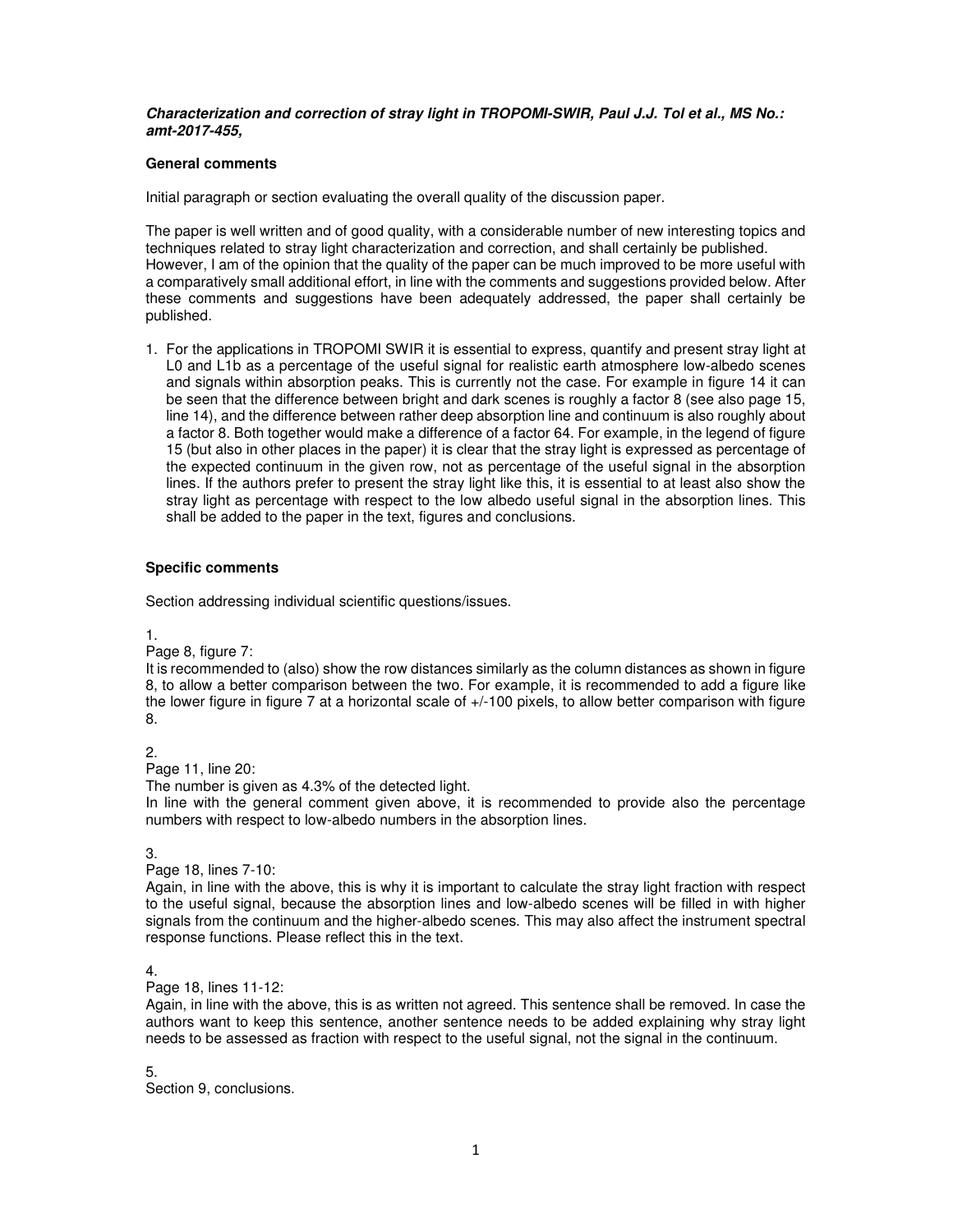## **Characterization and correction of stray light in TROPOMI-SWIR, Paul J.J. Tol et al., MS No.: amt-2017-455,**

## **General comments**

Initial paragraph or section evaluating the overall quality of the discussion paper.

The paper is well written and of good quality, with a considerable number of new interesting topics and techniques related to stray light characterization and correction, and shall certainly be published. However, I am of the opinion that the quality of the paper can be much improved to be more useful with a comparatively small additional effort, in line with the comments and suggestions provided below. After these comments and suggestions have been adequately addressed, the paper shall certainly be published.

1. For the applications in TROPOMI SWIR it is essential to express, quantify and present stray light at L0 and L1b as a percentage of the useful signal for realistic earth atmosphere low-albedo scenes and signals within absorption peaks. This is currently not the case. For example in figure 14 it can be seen that the difference between bright and dark scenes is roughly a factor 8 (see also page 15, line 14), and the difference between rather deep absorption line and continuum is also roughly about a factor 8. Both together would make a difference of a factor 64. For example, in the legend of figure 15 (but also in other places in the paper) it is clear that the stray light is expressed as percentage of the expected continuum in the given row, not as percentage of the useful signal in the absorption lines. If the authors prefer to present the stray light like this, it is essential to at least also show the stray light as percentage with respect to the low albedo useful signal in the absorption lines. This shall be added to the paper in the text, figures and conclusions.

## **Specific comments**

Section addressing individual scientific questions/issues.

1.

Page 8, figure 7:

It is recommended to (also) show the row distances similarly as the column distances as shown in figure 8, to allow a better comparison between the two. For example, it is recommended to add a figure like the lower figure in figure 7 at a horizontal scale of  $+/-100$  pixels, to allow better comparison with figure 8.

2.

Page 11, line 20:

The number is given as 4.3% of the detected light.

In line with the general comment given above, it is recommended to provide also the percentage numbers with respect to low-albedo numbers in the absorption lines.

3.

Page 18, lines 7-10:

Again, in line with the above, this is why it is important to calculate the stray light fraction with respect to the useful signal, because the absorption lines and low-albedo scenes will be filled in with higher signals from the continuum and the higher-albedo scenes. This may also affect the instrument spectral response functions. Please reflect this in the text.

4.

Page 18, lines 11-12:

Again, in line with the above, this is as written not agreed. This sentence shall be removed. In case the authors want to keep this sentence, another sentence needs to be added explaining why stray light needs to be assessed as fraction with respect to the useful signal, not the signal in the continuum.

5.

Section 9, conclusions.